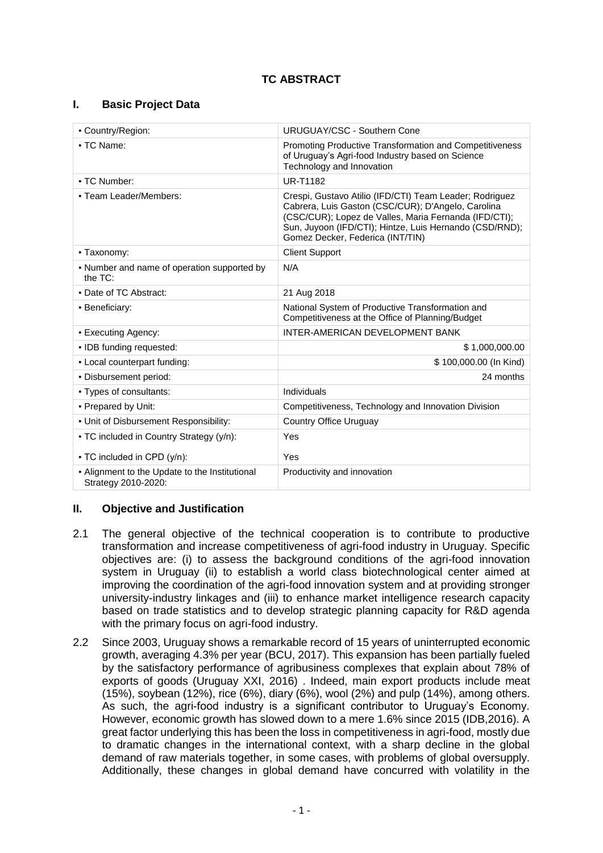# **I. Basic Project Data**

| - Country/Region:                                                     | <b>URUGUAY/CSC - Southern Cone</b>                                                                                                                                                                                                                                    |  |  |
|-----------------------------------------------------------------------|-----------------------------------------------------------------------------------------------------------------------------------------------------------------------------------------------------------------------------------------------------------------------|--|--|
| • TC Name:                                                            | Promoting Productive Transformation and Competitiveness<br>of Uruguay's Agri-food Industry based on Science<br>Technology and Innovation                                                                                                                              |  |  |
| • TC Number:                                                          | UR-T1182                                                                                                                                                                                                                                                              |  |  |
| • Team Leader/Members:                                                | Crespi, Gustavo Atilio (IFD/CTI) Team Leader; Rodriguez<br>Cabrera, Luis Gaston (CSC/CUR); D'Angelo, Carolina<br>(CSC/CUR); Lopez de Valles, Maria Fernanda (IFD/CTI);<br>Sun, Juyoon (IFD/CTI); Hintze, Luis Hernando (CSD/RND);<br>Gomez Decker, Federica (INT/TIN) |  |  |
| • Taxonomy:                                                           | <b>Client Support</b>                                                                                                                                                                                                                                                 |  |  |
| • Number and name of operation supported by<br>the TC:                | N/A                                                                                                                                                                                                                                                                   |  |  |
| • Date of TC Abstract:                                                | 21 Aug 2018                                                                                                                                                                                                                                                           |  |  |
| • Beneficiary:                                                        | National System of Productive Transformation and<br>Competitiveness at the Office of Planning/Budget                                                                                                                                                                  |  |  |
| • Executing Agency:                                                   | INTER-AMERICAN DEVELOPMENT BANK                                                                                                                                                                                                                                       |  |  |
| • IDB funding requested:                                              | \$1,000,000.00                                                                                                                                                                                                                                                        |  |  |
| - Local counterpart funding:                                          | \$100,000.00 (In Kind)                                                                                                                                                                                                                                                |  |  |
| • Disbursement period:                                                | 24 months                                                                                                                                                                                                                                                             |  |  |
| • Types of consultants:                                               | Individuals                                                                                                                                                                                                                                                           |  |  |
| - Prepared by Unit:                                                   | Competitiveness, Technology and Innovation Division                                                                                                                                                                                                                   |  |  |
| . Unit of Disbursement Responsibility:                                | Country Office Uruguay                                                                                                                                                                                                                                                |  |  |
| - TC included in Country Strategy (y/n):                              | Yes                                                                                                                                                                                                                                                                   |  |  |
| • TC included in CPD (y/n):                                           | Yes                                                                                                                                                                                                                                                                   |  |  |
| - Alignment to the Update to the Institutional<br>Strategy 2010-2020: | Productivity and innovation                                                                                                                                                                                                                                           |  |  |

# **II. Objective and Justification**

- 2.1 The general objective of the technical cooperation is to contribute to productive transformation and increase competitiveness of agri-food industry in Uruguay. Specific objectives are: (i) to assess the background conditions of the agri-food innovation system in Uruguay (ii) to establish a world class biotechnological center aimed at improving the coordination of the agri-food innovation system and at providing stronger university-industry linkages and (iii) to enhance market intelligence research capacity based on trade statistics and to develop strategic planning capacity for R&D agenda with the primary focus on agri-food industry.
- 2.2 Since 2003, Uruguay shows a remarkable record of 15 years of uninterrupted economic growth, averaging 4.3% per year (BCU, 2017). This expansion has been partially fueled by the satisfactory performance of agribusiness complexes that explain about 78% of exports of goods (Uruguay XXI, 2016) . Indeed, main export products include meat (15%), soybean (12%), rice (6%), diary (6%), wool (2%) and pulp (14%), among others. As such, the agri-food industry is a significant contributor to Uruguay's Economy. However, economic growth has slowed down to a mere 1.6% since 2015 (IDB,2016). A great factor underlying this has been the loss in competitiveness in agri-food, mostly due to dramatic changes in the international context, with a sharp decline in the global demand of raw materials together, in some cases, with problems of global oversupply. Additionally, these changes in global demand have concurred with volatility in the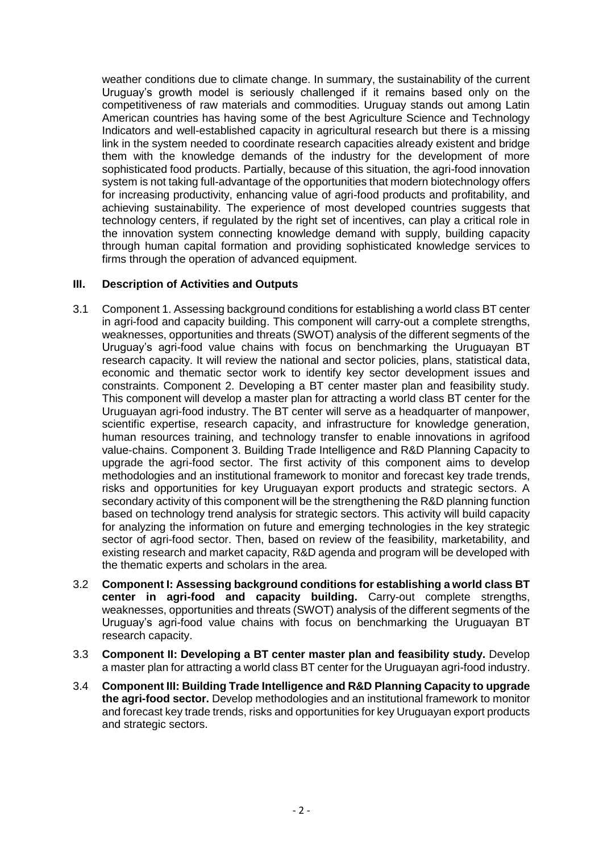weather conditions due to climate change. In summary, the sustainability of the current Uruguay's growth model is seriously challenged if it remains based only on the competitiveness of raw materials and commodities. Uruguay stands out among Latin American countries has having some of the best Agriculture Science and Technology Indicators and well-established capacity in agricultural research but there is a missing link in the system needed to coordinate research capacities already existent and bridge them with the knowledge demands of the industry for the development of more sophisticated food products. Partially, because of this situation, the agri-food innovation system is not taking full-advantage of the opportunities that modern biotechnology offers for increasing productivity, enhancing value of agri-food products and profitability, and achieving sustainability. The experience of most developed countries suggests that technology centers, if regulated by the right set of incentives, can play a critical role in the innovation system connecting knowledge demand with supply, building capacity through human capital formation and providing sophisticated knowledge services to firms through the operation of advanced equipment.

## **III. Description of Activities and Outputs**

- 3.1 Component 1. Assessing background conditions for establishing a world class BT center in agri-food and capacity building. This component will carry-out a complete strengths, weaknesses, opportunities and threats (SWOT) analysis of the different segments of the Uruguay's agri-food value chains with focus on benchmarking the Uruguayan BT research capacity. It will review the national and sector policies, plans, statistical data, economic and thematic sector work to identify key sector development issues and constraints. Component 2. Developing a BT center master plan and feasibility study. This component will develop a master plan for attracting a world class BT center for the Uruguayan agri-food industry. The BT center will serve as a headquarter of manpower, scientific expertise, research capacity, and infrastructure for knowledge generation, human resources training, and technology transfer to enable innovations in agrifood value-chains. Component 3. Building Trade Intelligence and R&D Planning Capacity to upgrade the agri-food sector. The first activity of this component aims to develop methodologies and an institutional framework to monitor and forecast key trade trends, risks and opportunities for key Uruguayan export products and strategic sectors. A secondary activity of this component will be the strengthening the R&D planning function based on technology trend analysis for strategic sectors. This activity will build capacity for analyzing the information on future and emerging technologies in the key strategic sector of agri-food sector. Then, based on review of the feasibility, marketability, and existing research and market capacity, R&D agenda and program will be developed with the thematic experts and scholars in the area.
- 3.2 **Component I: Assessing background conditions for establishing a world class BT center in agri-food and capacity building.** Carry-out complete strengths, weaknesses, opportunities and threats (SWOT) analysis of the different segments of the Uruguay's agri-food value chains with focus on benchmarking the Uruguayan BT research capacity.
- 3.3 **Component II: Developing a BT center master plan and feasibility study.** Develop a master plan for attracting a world class BT center for the Uruguayan agri-food industry.
- 3.4 **Component III: Building Trade Intelligence and R&D Planning Capacity to upgrade the agri-food sector.** Develop methodologies and an institutional framework to monitor and forecast key trade trends, risks and opportunities for key Uruguayan export products and strategic sectors.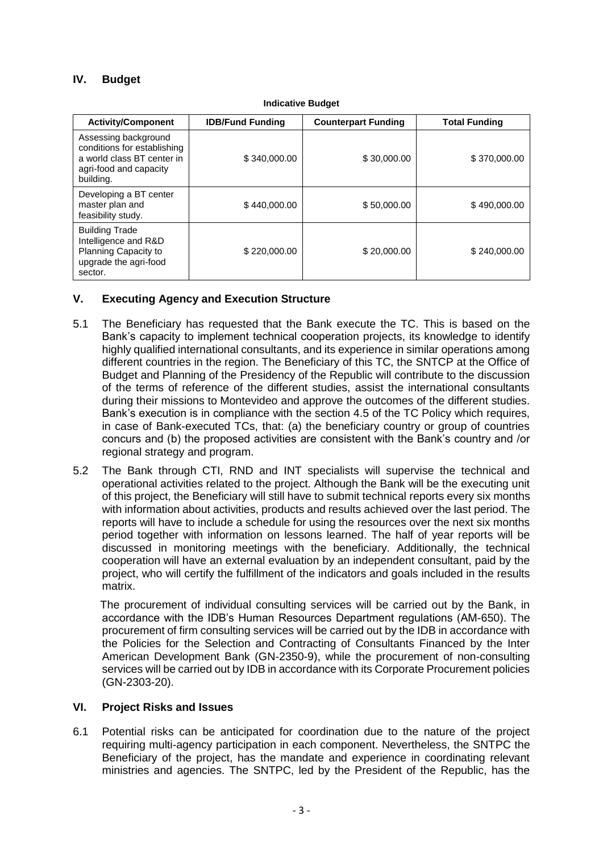# **IV. Budget**

| <b>Activity/Component</b>                                                                                                | <b>IDB/Fund Funding</b> | <b>Counterpart Funding</b> | <b>Total Funding</b> |
|--------------------------------------------------------------------------------------------------------------------------|-------------------------|----------------------------|----------------------|
| Assessing background<br>conditions for establishing<br>a world class BT center in<br>agri-food and capacity<br>building. | \$340,000.00            | \$30,000.00                | \$370,000.00         |
| Developing a BT center<br>master plan and<br>feasibility study.                                                          | \$440,000.00            | \$50,000.00                | \$490,000.00         |
| <b>Building Trade</b><br>Intelligence and R&D<br>Planning Capacity to<br>upgrade the agri-food<br>sector.                | \$220,000.00            | \$20,000.00                | \$240,000,00         |

#### **Indicative Budget**

# **V. Executing Agency and Execution Structure**

- 5.1 The Beneficiary has requested that the Bank execute the TC. This is based on the Bank's capacity to implement technical cooperation projects, its knowledge to identify highly qualified international consultants, and its experience in similar operations among different countries in the region. The Beneficiary of this TC, the SNTCP at the Office of Budget and Planning of the Presidency of the Republic will contribute to the discussion of the terms of reference of the different studies, assist the international consultants during their missions to Montevideo and approve the outcomes of the different studies. Bank's execution is in compliance with the section 4.5 of the TC Policy which requires, in case of Bank-executed TCs, that: (a) the beneficiary country or group of countries concurs and (b) the proposed activities are consistent with the Bank's country and /or regional strategy and program.
- 5.2 The Bank through CTI, RND and INT specialists will supervise the technical and operational activities related to the project. Although the Bank will be the executing unit of this project, the Beneficiary will still have to submit technical reports every six months with information about activities, products and results achieved over the last period. The reports will have to include a schedule for using the resources over the next six months period together with information on lessons learned. The half of year reports will be discussed in monitoring meetings with the beneficiary. Additionally, the technical cooperation will have an external evaluation by an independent consultant, paid by the project, who will certify the fulfillment of the indicators and goals included in the results matrix.

The procurement of individual consulting services will be carried out by the Bank, in accordance with the IDB's Human Resources Department regulations (AM-650). The procurement of firm consulting services will be carried out by the IDB in accordance with the Policies for the Selection and Contracting of Consultants Financed by the Inter American Development Bank (GN-2350-9), while the procurement of non-consulting services will be carried out by IDB in accordance with its Corporate Procurement policies (GN-2303-20).

## **VI. Project Risks and Issues**

6.1 Potential risks can be anticipated for coordination due to the nature of the project requiring multi-agency participation in each component. Nevertheless, the SNTPC the Beneficiary of the project, has the mandate and experience in coordinating relevant ministries and agencies. The SNTPC, led by the President of the Republic, has the